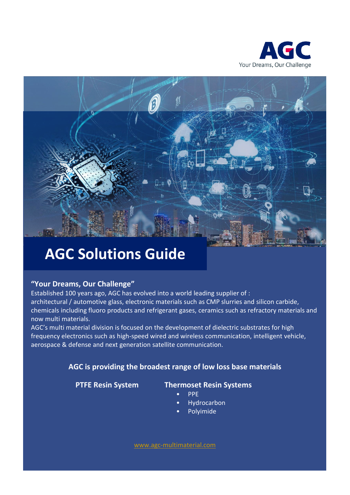



# **AGC Solutions Guide**

### **"Your Dreams, Our Challenge"**

Established 100 years ago, AGC has evolved into a world leading supplier of : architectural / automotive glass, electronic materials such as CMP slurries and silicon carbide, chemicals including fluoro products and refrigerant gases, ceramics such as refractory materials and now multi materials.

AGC's multi material division is focused on the development of dielectric substrates for high frequency electronics such as high-speed wired and wireless communication, intelligent vehicle, aerospace & defense and next generation satellite communication.

### **AGC is providing the broadest range of low loss base materials**

### **PTFE Resin System Thermoset Resin Systems**

- PPE
- Hydrocarbon
- Polyimide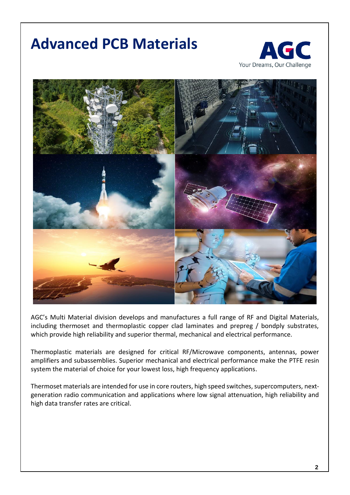# **Advanced PCB Materials**





AGC's Multi Material division develops and manufactures a full range of RF and Digital Materials, including thermoset and thermoplastic copper clad laminates and prepreg / bondply substrates, which provide high reliability and superior thermal, mechanical and electrical performance.

Thermoplastic materials are designed for critical RF/Microwave components, antennas, power amplifiers and subassemblies. Superior mechanical and electrical performance make the PTFE resin system the material of choice for your lowest loss, high frequency applications.

Thermoset materials are intended for use in core routers, high speed switches, supercomputers, nextgeneration radio communication and applications where low signal attenuation, high reliability and high data transfer rates are critical.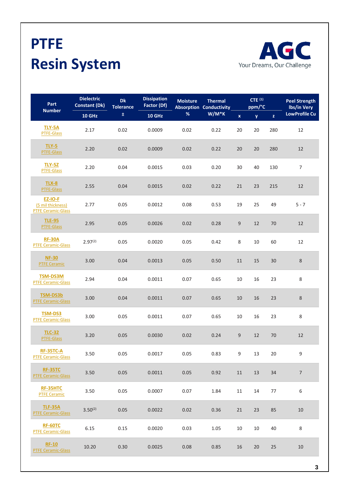# **PTFE Resin System**



| Part                                                             | <b>Dielectric</b><br><b>Constant (Dk)</b> | <b>Dk</b><br><b>Tolerance</b> | <b>Dissipation</b><br>Factor (Df) | <b>Moisture</b> | <b>Thermal</b><br><b>Absorption Conductivity</b> |                  | $CTE^{(1)}$<br>ppm/°C |                    | <b>Peel Strength</b><br>Ibs/in Very |
|------------------------------------------------------------------|-------------------------------------------|-------------------------------|-----------------------------------|-----------------|--------------------------------------------------|------------------|-----------------------|--------------------|-------------------------------------|
| <b>Number</b>                                                    | <b>10 GHz</b>                             | ±,                            | 10 GHz                            | $\%$            | W/M*K                                            | $\mathbf x$      | <b>y</b>              | $\bar{\mathbf{z}}$ | <b>LowProfile Cu</b>                |
| <b>TLY-5A</b><br><b>PTFE-Glass</b>                               | 2.17                                      | 0.02                          | 0.0009                            | 0.02            | 0.22                                             | 20               | 20                    | 280                | 12                                  |
| <b>TLY-5</b><br>PTFE-Glass                                       | 2.20                                      | 0.02                          | 0.0009                            | 0.02            | 0.22                                             | 20               | 20                    | 280                | 12                                  |
| <b>TLY-52</b><br><b>PTFE-Glass</b>                               | 2.20                                      | 0.04                          | 0.0015                            | 0.03            | 0.20                                             | 30               | 40                    | 130                | $\overline{7}$                      |
| <b>TLX-8</b><br>PTFE-Glass                                       | 2.55                                      | 0.04                          | 0.0015                            | 0.02            | 0.22                                             | 21               | 23                    | 215                | 12                                  |
| <b>EZ-IO-F</b><br>(5 mil thickness)<br><b>PTFE Ceramic-Glass</b> | 2.77                                      | 0.05                          | 0.0012                            | 0.08            | 0.53                                             | 19               | 25                    | 49                 | $5 - 7$                             |
| <b>TLE-95</b><br>PTFE-Glass                                      | 2.95                                      | 0.05                          | 0.0026                            | 0.02            | 0.28                                             | $\boldsymbol{9}$ | 12                    | 70                 | $12\,$                              |
| <b>RF-30A</b><br><b>PTFE Ceramic-Glass</b>                       | $2.97^{(2)}$                              | 0.05                          | 0.0020                            | 0.05            | 0.42                                             | 8                | 10                    | 60                 | 12                                  |
| <b>NF-30</b><br><b>PTFE Ceramic</b>                              | 3.00                                      | 0.04                          | 0.0013                            | 0.05            | 0.50                                             | 11               | 15                    | 30                 | $\,8\,$                             |
| <b>TSM-DS3M</b><br><b>PTFE Ceramic-Glass</b>                     | 2.94                                      | 0.04                          | 0.0011                            | 0.07            | 0.65                                             | 10               | 16                    | 23                 | 8                                   |
| <b>TSM-DS3b</b><br><b>PTFE Ceramic-Glass</b>                     | 3.00                                      | 0.04                          | 0.0011                            | 0.07            | 0.65                                             | 10               | 16                    | 23                 | 8                                   |
| <b>TSM-DS3</b><br><b>PTFE Ceramic-Glass</b>                      | 3.00                                      | 0.05                          | 0.0011                            | 0.07            | 0.65                                             | $10\,$           | 16                    | 23                 | 8                                   |
| <b>TLC-32</b><br>PTFE-Glass                                      | 3.20                                      | 0.05                          | 0.0030                            | 0.02            | 0.24                                             | $\boldsymbol{9}$ | 12                    | 70                 | $12\,$                              |
| <b>RF-35TC-A</b><br><b>PTFE Ceramic-Glass</b>                    | 3.50                                      | 0.05                          | 0.0017                            | 0.05            | 0.83                                             | 9                | 13                    | 20                 | 9                                   |
| <b>RF-35TC</b><br><b>PTFE Ceramic-Glass</b>                      | 3.50                                      | 0.05                          | 0.0011                            | 0.05            | 0.92                                             | 11               | 13                    | 34                 | $\overline{7}$                      |
| RF-35HTC<br><b>PTFE Ceramic</b>                                  | 3.50                                      | 0.05                          | 0.0007                            | 0.07            | 1.84                                             | 11               | 14                    | 77                 | 6                                   |
| <b>TLF-35A</b><br><b>PTFE Ceramic-Glass</b>                      | $3.50^{(2)}$                              | 0.05                          | 0.0022                            | 0.02            | 0.36                                             | 21               | 23                    | 85                 | 10                                  |
| <b>RF-60TC</b><br><b>PTFE Ceramic-Glass</b>                      | 6.15                                      | 0.15                          | 0.0020                            | 0.03            | 1.05                                             | 10               | 10                    | 40                 | 8                                   |
| <b>RF-10</b><br><b>PTFE Ceramic-Glass</b>                        | 10.20                                     | 0.30                          | 0.0025                            | 0.08            | 0.85                                             | 16               | 20                    | 25                 | 10                                  |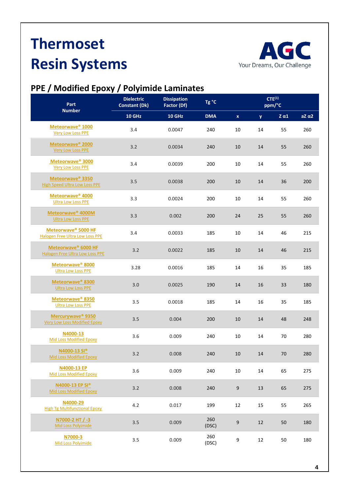# **Thermoset Resin Systems**



## **PPE / Modified Epoxy / Polyimide Laminates**

| Part                                                                 | <b>Dielectric</b><br><b>Constant (Dk)</b> | <b>Dissipation</b><br>Tg °C<br>Factor (Df) |              |                  | $CTE^{(1)}$<br>ppm/°C |              |              |  |
|----------------------------------------------------------------------|-------------------------------------------|--------------------------------------------|--------------|------------------|-----------------------|--------------|--------------|--|
| <b>Number</b>                                                        | 10 GHz                                    | <b>10 GHz</b>                              | <b>DMA</b>   | $\mathbf x$      | y.                    | $Z \alpha 1$ | $aZ \alpha2$ |  |
| Meteorwave <sup>®</sup> 1000<br><b>Very Low Loss PPE</b>             | 3.4                                       | 0.0047                                     | 240          | 10               | 14                    | 55           | 260          |  |
| Meteorwave <sup>®</sup> 2000<br><b>Very Low Loss PPE</b>             | 3.2                                       | 0.0034                                     | 240          | 10               | 14                    | 55           | 260          |  |
| Meteorwave <sup>®</sup> 3000<br><b>Very Low Loss PPE</b>             | 3.4                                       | 0.0039                                     | 200          | 10               | 14                    | 55           | 260          |  |
| Meteorwave <sup>®</sup> 3350<br><b>High Speed Ultra Low Loss PPE</b> | 3.5                                       | 0.0038                                     | 200          | 10               | 14                    | 36           | 200          |  |
| Meteorwave <sup>®</sup> 4000<br><b>Ultra Low Loss PPE</b>            | 3.3                                       | 0.0024                                     | 200          | 10               | 14                    | 55           | 260          |  |
| Meteorwave <sup>®</sup> 4000M<br><b>Ultra Low Loss PPE</b>           | 3.3                                       | 0.002                                      | 200          | 24               | 25                    | 55           | 260          |  |
| Meteorwave® 5000 HF<br>Halogen Free Ultra Low Loss PPE               | 3.4                                       | 0.0033                                     | 185          | 10               | 14                    | 46           | 215          |  |
| Meteorwave <sup>®</sup> 6000 HF<br>Halogen Free Ultra Low Loss PPE   | 3.2                                       | 0.0022                                     | 185          | 10               | 14                    | 46           | 215          |  |
| Meteorwave <sup>®</sup> 8000<br><b>Ultra Low Loss PPE</b>            | 3.28                                      | 0.0016                                     | 185          | 14               | 16                    | 35           | 185          |  |
| Meteorwave <sup>®</sup> 8300<br><b>Ultra Low Loss PPE</b>            | 3.0                                       | 0.0025                                     | 190          | 14               | 16                    | 33           | 180          |  |
| Meteorwave <sup>®</sup> 8350<br><b>Ultra Low Loss PPE</b>            | 3.5                                       | 0.0018                                     | 185          | 14               | 16                    | 35           | 185          |  |
| Mercurywave® 9350<br><b>Very Low Loss Modified Epoxy</b>             | 3.5                                       | 0.004                                      | 200          | 10               | 14                    | 48           | 248          |  |
| N4000-13<br><b>Mid Loss Modified Epoxy</b>                           | 3.6                                       | 0.009                                      | 240          | 10               | 14                    | 70           | 280          |  |
| N4000-13 SI®<br>Mid Loss Modified Epoxy                              | 3.2                                       | 0.008                                      | 240          | 10               | 14                    | 70           | 280          |  |
| N4000-13 EP<br><b>Mid Loss Modified Epoxy</b>                        | 3.6                                       | 0.009                                      | 240          | 10               | 14                    | 65           | 275          |  |
| N4000-13 EP SI®<br>Mid Loss Modified Epoxy                           | 3.2                                       | 0.008                                      | 240          | $\boldsymbol{9}$ | 13                    | 65           | 275          |  |
| N4000-29<br><b>High Tg Multifunctional Epoxy</b>                     | 4.2                                       | 0.017                                      | 199          | 12               | 15                    | 55           | 265          |  |
| N7000-2 HT / -3<br>Mid Loss Polyimide                                | 3.5                                       | 0.009                                      | 260<br>(DSC) | $\boldsymbol{9}$ | 12                    | 50           | 180          |  |
| N7000-3<br>Mid Loss Polyimide                                        | 3.5                                       | 0.009                                      | 260<br>(DSC) | 9                | 12                    | 50           | 180          |  |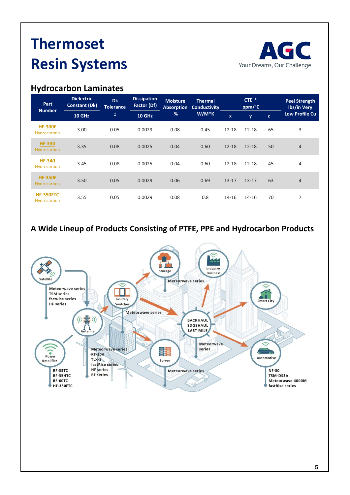# **Thermoset Resin Systems**





| <b>Part</b>                     | <b>Dielectric</b><br><b>Constant (Dk)</b> | <b>Dk</b><br><b>Tolerance</b> | <b>Dissipation</b><br>Factor (Df) | <b>Moisture</b><br><b>Absorption</b> | <b>Thermal</b><br><b>Conductivity</b> |             | CTE $(1)$<br>ppm/°C |              | <b>Peel Strength</b><br>lbs/in Very |
|---------------------------------|-------------------------------------------|-------------------------------|-----------------------------------|--------------------------------------|---------------------------------------|-------------|---------------------|--------------|-------------------------------------|
| <b>Number</b>                   | <b>10 GHz</b>                             | 土                             | <b>10 GHz</b>                     | %                                    | $W/M*K$                               | $\mathbf x$ | y                   | $\mathbf{z}$ | <b>Low Profile Cu</b>               |
| <b>HF-300F</b><br>Hydrocarbon   | 3.00                                      | 0.05                          | 0.0029                            | 0.08                                 | 0.45                                  | $12 - 18$   | $12 - 18$           | 65           | 3                                   |
| <b>HF-330</b><br>Hydrocarbon    | 3.35                                      | 0.08                          | 0.0025                            | 0.04                                 | 0.60                                  | $12 - 18$   | $12 - 18$           | 50           | $\overline{4}$                      |
| <b>HF-340</b><br>Hydrocarbon    | 3.45                                      | 0.08                          | 0.0025                            | 0.04                                 | 0.60                                  | $12 - 18$   | $12 - 18$           | 45           | 4                                   |
| <b>HF-350F</b><br>Hydrocarbon   | 3.50                                      | 0.05                          | 0.0029                            | 0.06                                 | 0.69                                  | $13 - 17$   | $13 - 17$           | 63           | $\overline{4}$                      |
| <b>HF-350FTC</b><br>Hydrocarbon | 3.55                                      | 0.05                          | 0.0029                            | 0.08                                 | 0.8                                   | 14-16       | 14-16               | 70           | 7                                   |

### **A Wide Lineup of Products Consisting of PTFE, PPE and Hydrocarbon Products**

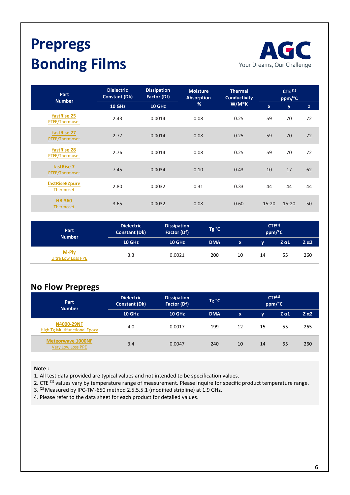# **Prepregs Bonding Films**



| Part<br><b>Number</b>         | <b>Dielectric</b><br><b>Constant (Dk)</b> | <b>Dissipation</b><br>Factor (Df) | <b>Moisture</b><br><b>Absorption</b> | <b>Thermal</b><br><b>Conductivity</b> | CTE <sup>(1)</sup><br>ppm/°C |           |    |  |
|-------------------------------|-------------------------------------------|-----------------------------------|--------------------------------------|---------------------------------------|------------------------------|-----------|----|--|
|                               | <b>10 GHz</b>                             | 10 GHz                            | %                                    | $W/M*K$                               | $\mathbf{x}$                 | y         | z  |  |
| fastRise 25<br>PTFE/Thermoset | 2.43                                      | 0.0014                            | 0.08                                 | 0.25                                  | 59                           | 70        | 72 |  |
| fastRise 27<br>PTFE/Thermoset | 2.77                                      | 0.0014                            | 0.08                                 | 0.25                                  | 59                           | 70        | 72 |  |
| fastRise 28<br>PTFE/Thermoset | 2.76                                      | 0.0014                            | 0.08                                 | 0.25                                  | 59                           | 70        | 72 |  |
| fastRise 7<br>PTFE/Thermoset  | 7.45                                      | 0.0034                            | 0.10                                 | 0.43                                  | 10                           | 17        | 62 |  |
| fastRiseEZpure<br>Thermoset   | 2.80                                      | 0.0032                            | 0.31                                 | 0.33                                  | 44                           | 44        | 44 |  |
| <b>HB-360</b><br>Thermoset    | 3.65                                      | 0.0032                            | 0.08                                 | 0.60                                  | $15 - 20$                    | $15 - 20$ | 50 |  |

| Part<br><b>Number</b>              | <b>Dielectric</b><br><b>Dissipation</b><br>Factor (Df)<br><b>Constant (Dk)</b> |               | $Tg^{\circ}C$ | CTE <sup>(1)</sup><br>ppm/°C |    |              |            |  |
|------------------------------------|--------------------------------------------------------------------------------|---------------|---------------|------------------------------|----|--------------|------------|--|
|                                    | <b>10 GHz</b>                                                                  | <b>10 GHz</b> | <b>DMA</b>    | x.                           |    | $Z \alpha 1$ | <b>Ζα2</b> |  |
| M-Ply<br><b>Ultra Low Loss PPE</b> | 3.3                                                                            | 0.0021        | 200           | 10                           | 14 | 55           | 260        |  |

### **No Flow Prepregs**

| Part<br><b>Number</b>                              | <b>Dielectric</b><br><b>Dissipation</b><br>Factor (Df)<br><b>Constant (Dk)</b> |               | $\mathsf{Tg}$ °C $\mathsf{T}$ | CTE <sup>(1)</sup><br>ppm/°C |    |              |              |  |
|----------------------------------------------------|--------------------------------------------------------------------------------|---------------|-------------------------------|------------------------------|----|--------------|--------------|--|
|                                                    | <b>10 GHz</b>                                                                  | <b>10 GHz</b> | <b>DMA</b>                    | $\mathbf{x}$                 | v. | $Z \alpha 1$ | $Z \alpha 2$ |  |
| N4000-29NF<br><b>High Tg Multifunctional Epoxy</b> | 4.0                                                                            | 0.0017        | 199                           | 12                           | 15 | 55           | 265          |  |
| <b>Meteorwave 1000NF</b><br>Very Low Loss PPE      | 3.4                                                                            | 0.0047        | 240                           | 10                           | 14 | 55           | 260          |  |

### **Note :**

- 1. All test data provided are typical values and not intended to be specification values.
- 2. CTE<sup>(1)</sup> values vary by temperature range of measurement. Please inquire for specific product temperature range.
- 3. <sup>(2)</sup> Measured by IPC-TM-650 method 2.5.5.5.1 (modified stripline) at 1.9 GHz.
- 4. Please refer to the data sheet for each product for detailed values.